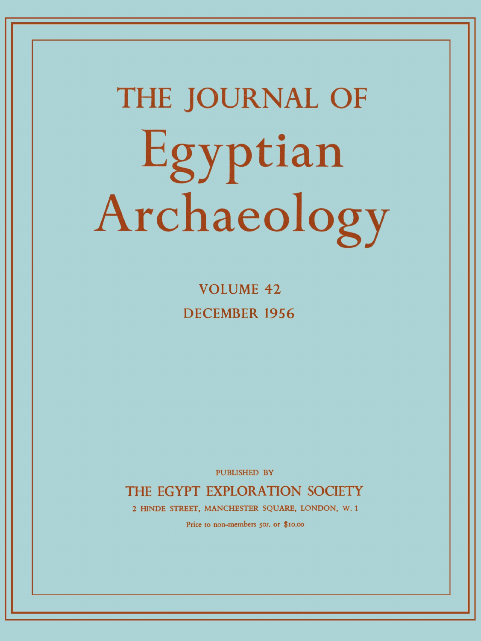# **THE JOURNAL OF**  Egyptian Archaeology

**VOLUME 4 2 DECEMBER 195 6** 

PUBLISHED BY

THE EGYPT EXPLORATION SOCIETY

2 HINDE STREET, MANCHESTER SQUARE, LONDON, W. 1

Price to non-members 50s. or \$10.00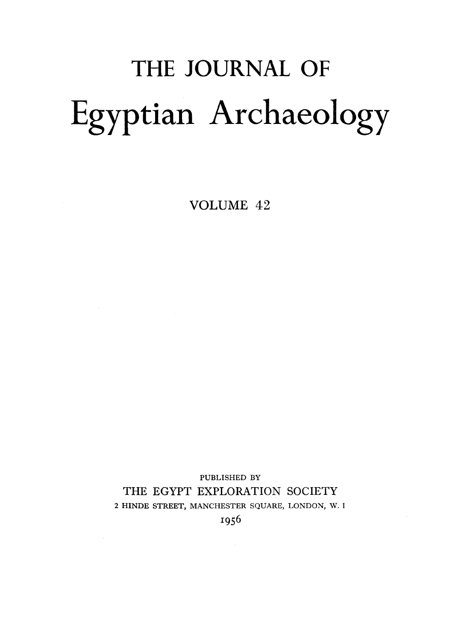# THE JOURNAL OF Egyptian Archaeology

VOLUME 42

PUBLISHED BY THE EGYPT EXPLORATION SOCIETY 2 HINDE STREET, MANCHESTER SQUARE, LONDON, W. 1

1956

 $\mathcal{L}(\mathcal{A})$  and  $\mathcal{L}(\mathcal{A})$  and  $\mathcal{L}(\mathcal{A})$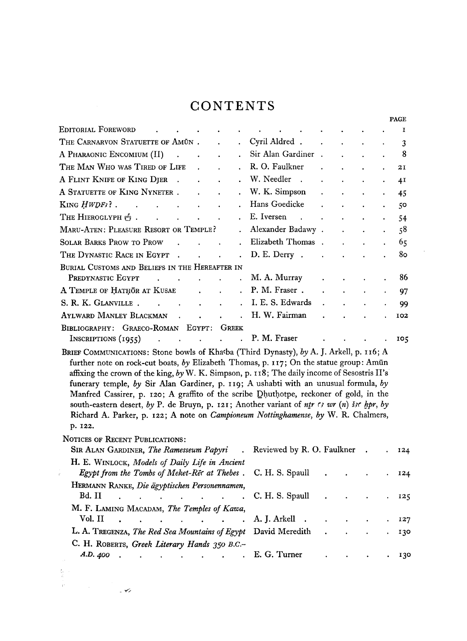## **CONTENTS**

|                                                                                                                                                                                                                                                                  |                                 |                      |                      |                                                                                 |                      |                                                                          |                                                                      |                      | <b>PAGE</b> |
|------------------------------------------------------------------------------------------------------------------------------------------------------------------------------------------------------------------------------------------------------------------|---------------------------------|----------------------|----------------------|---------------------------------------------------------------------------------|----------------------|--------------------------------------------------------------------------|----------------------------------------------------------------------|----------------------|-------------|
| Editorial Foreword<br>$\mathbf{r}$ , and $\mathbf{r}$ , and $\mathbf{r}$                                                                                                                                                                                         |                                 |                      |                      | the contract of the contract of the contract of the contract of the contract of |                      |                                                                          |                                                                      |                      | 1           |
| THE CARNARVON STATUETTE OF AMUN.                                                                                                                                                                                                                                 |                                 |                      |                      | Cyril Aldred.<br>$\sim$ $\sim$                                                  |                      | $\mathbf{r}^{\prime}$                                                    | $\Box$                                                               |                      | 3           |
| A PHARAONIC ENCOMIUM (II)                                                                                                                                                                                                                                        |                                 |                      |                      | Sir Alan Gardiner.                                                              |                      |                                                                          |                                                                      |                      | 8           |
| The Man Who was Tired of Life                                                                                                                                                                                                                                    |                                 |                      | $\ddot{\phantom{a}}$ | R. O. Faulkner                                                                  |                      |                                                                          | $\bullet$                                                            |                      | 2I          |
| A FLINT KNIFE OF KING DJER.                                                                                                                                                                                                                                      |                                 |                      |                      | W. Needler .                                                                    |                      | $\bullet$                                                                | $\bullet$                                                            |                      | 41          |
| A STATUETTE OF KING NYNETER.                                                                                                                                                                                                                                     | $\ddot{\phantom{a}}$            |                      |                      | W. K. Simpson                                                                   | $\ddot{\phantom{a}}$ | $\mathbf{z}$ and $\mathbf{z}$                                            | $\mathbf{r}$                                                         |                      | 45          |
| King $HWDFs$ ?.<br>$\mathcal{L}^{\mathcal{A}}$ . The contract of the contract of the contract of the contract of the contract of the contract of the contract of the contract of the contract of the contract of the contract of the contract of the contrac     |                                 |                      |                      | Hans Goedicke                                                                   |                      | $\mathbf{z}$ and $\mathbf{z}$                                            | $\bullet$                                                            |                      | 50          |
| The Hieroglyph $\bigoplus$ .<br>and the contract of the contract of the contract of the contract of the contract of the contract of the contract of                                                                                                              |                                 |                      |                      | E. Iversen<br><b>Contract Contract Contract</b>                                 |                      |                                                                          | $\mathbf{r} = \mathbf{r} \cdot \mathbf{r}$ . The set of $\mathbf{r}$ |                      | 54          |
| MARU-ATEN: PLEASURE RESORT OR TEMPLE?                                                                                                                                                                                                                            |                                 |                      |                      | Alexander Badawy.                                                               |                      |                                                                          | <b>All Contracts</b>                                                 |                      | 58          |
| <b>SOLAR BARKS PROW TO PROW</b>                                                                                                                                                                                                                                  |                                 |                      |                      |                                                                                 |                      |                                                                          |                                                                      |                      | 65          |
| THE DYNASTIC RACE IN EGYPT.                                                                                                                                                                                                                                      |                                 |                      |                      | D. E. Derry.                                                                    |                      | and the state of the state of the                                        |                                                                      |                      | 80          |
| BURIAL CUSTOMS AND BELIEFS IN THE HEREAFTER IN                                                                                                                                                                                                                   |                                 |                      |                      |                                                                                 |                      |                                                                          |                                                                      |                      |             |
| PREDYNASTIC EGYPT<br>and the contract of the contract of                                                                                                                                                                                                         | <b>Contract Contract Street</b> |                      |                      | M. A. Murray                                                                    |                      | $\mathbf{r} = \mathbf{r} + \mathbf{r}$ , where $\mathbf{r} = \mathbf{r}$ |                                                                      | $\ddot{\phantom{0}}$ | 86          |
| A TEMPLE OF HATHOR AT KUSAE                                                                                                                                                                                                                                      |                                 | $\ddot{\phantom{a}}$ |                      | P. M. Fraser.                                                                   | $\ddot{\phantom{a}}$ | and the state of the state of                                            |                                                                      | $\bullet$            | 97          |
| S. R. K. GLANVILLE.<br>$\mathcal{L}^{\text{max}}$ , and the set of the set of the set of the set of the set of the set of the set of the set of the set of the set of the set of the set of the set of the set of the set of the set of the set of the set of th |                                 |                      |                      | I. E. S. Edwards                                                                | $\ddot{\phantom{a}}$ |                                                                          | <b>All Contracts</b>                                                 | $\bullet$            | 99          |
| <b>AYLWARD MANLEY BLACKMAN</b><br>$\sim$                                                                                                                                                                                                                         |                                 |                      |                      | H. W. Fairman                                                                   |                      |                                                                          |                                                                      |                      | 102         |
| BIBLIOGRAPHY: GRAECO-ROMAN                                                                                                                                                                                                                                       | EGYPT:                          | <b>GREEK</b>         |                      |                                                                                 |                      |                                                                          |                                                                      |                      |             |
| INSCRIPTIONS (1955)<br>$\mathcal{L}^{\mathcal{A}}$ , and $\mathcal{L}^{\mathcal{A}}$ , and $\mathcal{L}^{\mathcal{A}}$ , and $\mathcal{L}^{\mathcal{A}}$ , and $\mathcal{L}^{\mathcal{A}}$                                                                       |                                 |                      |                      | P. M. Fraser                                                                    |                      |                                                                          |                                                                      |                      | 105         |

BRIEF COMMUNICATIONS: Stone bowls of Khacba (Third Dynasty), by A. J. Arkell, p. 116; A **further note on rock-cut boats,** *by* **Elizabeth Thomas, p.** 117; **On the statue group: Amün affixing the crown of the king,** *by* **W . K. Simpson, p.** 118**; The daily income of Sesostris IPs funerary temple,** *by* **Sir Alan Gardiner, p.** 119; **A ushabti with an unusual formula,** *by*  **Manfred Cassirer, p.** 120; **A graffito of the scribe Dhuthotpe, reckoner of gold, in the south-eastern desert,** *by* **P . de Bruyn, p.** 121; **Another variant of** *ntr* **ry** *wr (n) sir hpr, by*  **Richard A . Parker, p.** 122; **A note on** *Campioneum Nottinghamense, by* **W . R. Chalmers, p.** 122.

**N**OTICES OF **R**ECENT **P**UBLICATIONS:

数:20

| SIR ALAN GARDINER, The Ramesseum Papyri . Reviewed by R. O. Faulkner.                                                                                                                                                                                                                                                                                                                                                                                                                                      |  | $\mathbf{r}$    | 124   |
|------------------------------------------------------------------------------------------------------------------------------------------------------------------------------------------------------------------------------------------------------------------------------------------------------------------------------------------------------------------------------------------------------------------------------------------------------------------------------------------------------------|--|-----------------|-------|
| H. E. WINLOCK, Models of Daily Life in Ancient                                                                                                                                                                                                                                                                                                                                                                                                                                                             |  |                 |       |
| <b>Egypt from the Tombs of Meket-Rec at Thebes</b> . C. H. S. Spaull                                                                                                                                                                                                                                                                                                                                                                                                                                       |  | $\bullet$       | 124   |
| HERMANN RANKE, Die ägyptischen Personennamen,                                                                                                                                                                                                                                                                                                                                                                                                                                                              |  |                 |       |
| Bd. II<br>$\therefore$ $\therefore$ $\therefore$ $\therefore$ $\therefore$ $\therefore$ $\therefore$ $\therefore$ $\therefore$ $\therefore$ $\therefore$ $\therefore$ $\therefore$ $\therefore$ $\therefore$ $\therefore$ $\therefore$ $\therefore$ $\therefore$ $\therefore$ $\therefore$ $\therefore$ $\therefore$ $\therefore$ $\therefore$ $\therefore$ $\therefore$ $\therefore$ $\therefore$ $\therefore$ $\therefore$ $\therefore$ $\therefore$ $\therefore$ $\therefore$ $\therefore$ $\therefore$ |  | $\sim 10^{-11}$ | 125   |
| M. F. LAMING MACADAM, The Temples of Kawa,                                                                                                                                                                                                                                                                                                                                                                                                                                                                 |  |                 |       |
| Vol. II<br>e de la component de la component de la partie de la component de la component de la component de la component                                                                                                                                                                                                                                                                                                                                                                                  |  |                 | . 127 |
|                                                                                                                                                                                                                                                                                                                                                                                                                                                                                                            |  |                 | . 130 |
| C. H. ROBERTS, Greek Literary Hands 350 B.C.-                                                                                                                                                                                                                                                                                                                                                                                                                                                              |  |                 |       |
| A.D. 400 E. G. Turner                                                                                                                                                                                                                                                                                                                                                                                                                                                                                      |  | $\bullet$       | 130   |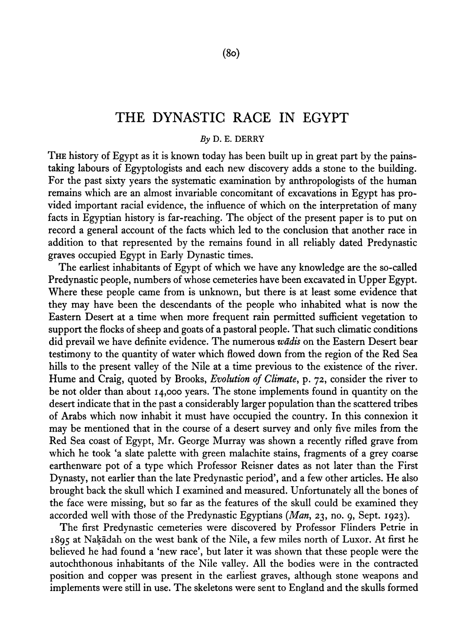### THE DYNASTIC RACE IN EGYPT

#### *By* **D. E. DERRY**

THE history of Egypt as it is known today has been built up in great part by the painstaking labours of Egyptologists and each new discovery adds a stone to the building. For the past sixty years the systematic examination by anthropologists of the human remains which are an almost invariable concomitant of excavations in Egypt has provided important racial evidence, the influence of which on the interpretation of many facts in Egyptian history is far-reaching. The object of the present paper is to put on record a general account of the facts which led to the conclusion that another race in addition to that represented by the remains found in all reliably dated Predynastic graves occupied Egypt in Early Dynastic times.

The earliest inhabitants of Egypt of which we have any knowledge are the so-called Predynastic people, numbers of whose cemeteries have been excavated in Upper Egypt. Where these people came from is unknown, but there is at least some evidence that they may have been the descendants of the people who inhabited what is now the Eastern Desert at a time when more frequent rain permitted sufficient vegetation to support the flocks of sheep and goats of a pastoral people. That such climatic conditions did prevail we have definite evidence. The numerous *wddis* on the Eastern Desert bear testimony to the quantity of water which flowed down from the region of the Red Sea hills to the present valley of the Nile at a time previous to the existence of the river. Hume and Craig, quoted by Brooks, *Evolution of Climate,* p. 72, consider the river to be not older than about 14,000 years. The stone implements found in quantity on the desert indicate that in the past a considerably larger population than the scattered tribes of Arabs which now inhabit it must have occupied the country. In this connexion it may be mentioned that in the course of a desert survey and only five miles from the Red Sea coast of Egypt, Mr. George Murray was shown a recently rifled grave from which he took 'a slate palette with green malachite stains, fragments of a grey coarse earthenware pot of a type which Professor Reisner dates as not later than the First Dynasty, not earlier than the late Predynastic period', and a few other articles. He also brought back the skull which I examined and measured. Unfortunately all the bones of the face were missing, but so far as the features of the skull could be examined they accorded well with those of the Predynastic Egyptians *(Man,* 23, no. 9, Sept. 1923).

The first Predynastic cemeteries were discovered by Professor Flinders Petrie in 1895 at Nakadah on the west bank of the Nile, a few miles north of Luxor. At first he believed he had found a 'new race', but later it was shown that these people were the autochthonous inhabitants of the Nile valley. All the bodies were in the contracted position and copper was present in the earliest graves, although stone weapons and implements were still in use. The skeletons were sent to England and the skulls formed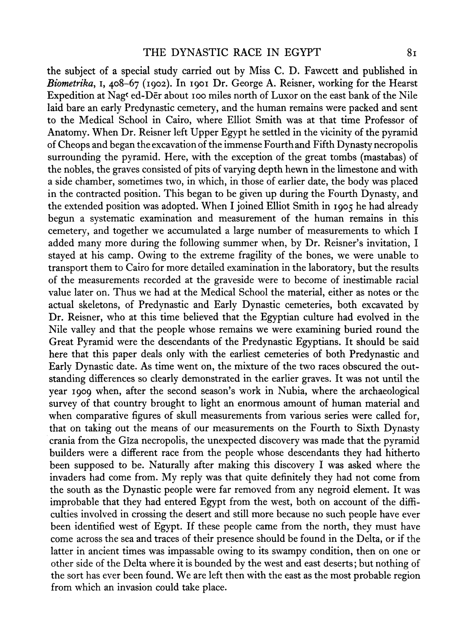the subject of a special study carried out by Miss C. D. Fawcett and published in *Biometrika*, I, 408-67 (1902). In 1901 Dr. George A. Reisner, working for the Hearst Expedition at Nag< ed-Der about 100 miles north of Luxor on the east bank of the Nile laid bare an early Predynastic cemetery, and the human remains were packed and sent to the Medical School in Cairo, where Elliot Smith was at that time Professor of Anatomy. When Dr. Reisner left Upper Egypt he settled in the vicinity of the pyramid of Cheops and began the excavation of the immense Fourth and Fifth Dynasty necropolis surrounding the pyramid. Here, with the exception of the great tombs (mastabas) of the nobles, the graves consisted of pits of varying depth hewn in the limestone and with a side chamber, sometimes two, in which, in those of earlier date, the body was placed in the contracted position. This began to be given up during the Fourth Dynasty, and the extended position was adopted. When I joined Elliot Smith in 1905 he had already begun a systematic examination and measurement of the human remains in this cemetery, and together we accumulated a large number of measurements to which I added many more during the following summer when, by Dr. Reisner's invitation, I stayed at his camp. Owing to the extreme fragility of the bones, we were unable to transport them to Cairo for more detailed examination in the laboratory, but the results of the measurements recorded at the graveside were to become of inestimable racial value later on. Thus we had at the Medical School the material, either as notes or the actual skeletons, of Predynastic and Early Dynastic cemeteries, both excavated by Dr. Reisner, who at this time believed that the Egyptian culture had evolved in the Nile valley and that the people whose remains we were examining buried round the Great Pyramid were the descendants of the Predynastic Egyptians. It should be said here that this paper deals only with the earliest cemeteries of both Predynastic and Early Dynastic date. As time went on, the mixture of the two races obscured the outstanding differences so clearly demonstrated in the earlier graves. It was not until the year 1909 when, after the second season's work in Nubia, where the archaeological survey of that country brought to light an enormous amount of human material and when comparative figures of skull measurements from various series were called for, that on taking out the means of our measurements on the Fourth to Sixth Dynasty crania from the Giza necropolis, the unexpected discovery was made that the pyramid builders were a different race from the people whose descendants they had hitherto been supposed to be. Naturally after making this discovery I was asked where the invaders had come from. My reply was that quite definitely they had not come from the south as the Dynastic people were far removed from any negroid element. It was improbable that they had entered Egypt from the west, both on account of the difficulties involved in crossing the desert and still more because no such people have ever been identified west of Egypt. If these people came from the north, they must have come across the sea and traces of their presence should be found in the Delta, or if the latter in ancient times was impassable owing to its swampy condition, then on one or other side of the Delta where it is bounded by the west and east deserts; but nothing of the sort has ever been found. We are left then with the east as the most probable region from which an invasion could take place.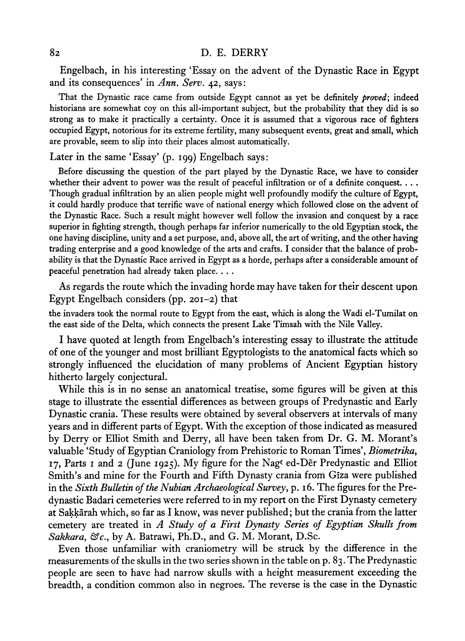Engelbach, in his interesting 'Essay on the advent of the Dynastic Race in Egypt and its consequences' in *Ann. Serv.* 42, says:

That the Dynastic race came from outside Egypt cannot as yet be definitely *proved*; indeed historians are somewhat coy on this all-important subject, but the probability that they did is so strong as to make it practically a certainty. Once it is assumed that a vigorous race of fighters occupied Egypt, notorious for its extreme fertility, many subsequent events, great and small, which are provable, seem to slip into their places almost automatically.

Later in the same 'Essay' (p. 199) Engelbach says:

Before discussing the question of the part played by the Dynastic Race, we have to consider whether their advent to power was the result of peaceful infiltration or of a definite conquest. . . . Though gradual infiltration by an alien people might well profoundly modify the culture of Egypt, it could hardly produce that terrific wave of national energy which followed close on the advent of the Dynastic Race. Such a result might however well follow the invasion and conquest by a race superior in fighting strength, though perhaps far inferior numerically to the old Egyptian stock, the one having discipline, unity and a set purpose, and, above all, the art of writing, and the other having trading enterprise and a good knowledge of the arts and crafts. I consider that the balance of probability is that the Dynastic Race arrived in Egypt as a horde, perhaps after a considerable amount of peaceful penetration had already taken place. . . .

As regards the route which the invading horde may have taken for their descent upon Egypt Engelbach considers (pp. 201-2) that

the invaders took the normal route to Egypt from the east, which is along the Wadi el-Tumilat on the east side of the Delta, which connects the present Lake Timsah with the Nile Valley.

I have quoted at length from Engelbach's interesting essay to illustrate the attitude of one of the younger and most brilliant Egyptologists to the anatomical facts which so strongly influenced the elucidation of many problems of Ancient Egyptian history hitherto largely conjectural.

While this is in no sense an anatomical treatise, some figures will be given at this stage to illustrate the essential differences as between groups of Predynastic and Early Dynastic crania. These results were obtained by several observers at intervals of many years and in different parts of Egypt. With the exception of those indicated as measured by Derry or Elliot Smith and Derry, all have been taken from Dr. G. M. Morant's valuable 'Study of Egyptian Craniology from Prehistoric to Roman Times', *Biometrika,*  17, Parts 1 and 2 (June 1925). My figure for the Nag< ed-Der Predynastic and Elliot Smith's and mine for the Fourth and Fifth Dynasty crania from Giza were published in the *Sixth Bulletin of the Nubian Archaeological Survey,* p. 16. The figures for the Predynastic Badari cemeteries were referred to in my report on the First Dynasty cemetery at Sakkarah which, so far as I know, was never published; but the crania from the latter cemetery are treated in *A Study of a First Dynasty Series of Egyptian Skulls from Sakkara, &c.y* by A. Batrawi, Ph.D., and G. M. Morant, D.Sc.

Even those unfamiliar with craniometry will be struck by the difference in the measurements of the skulls in the two series shown in the table on p. 83. The Predynastic people are seen to have had narrow skulls with a height measurement exceeding the breadth, a condition common also in negroes. The reverse is the case in the Dynastic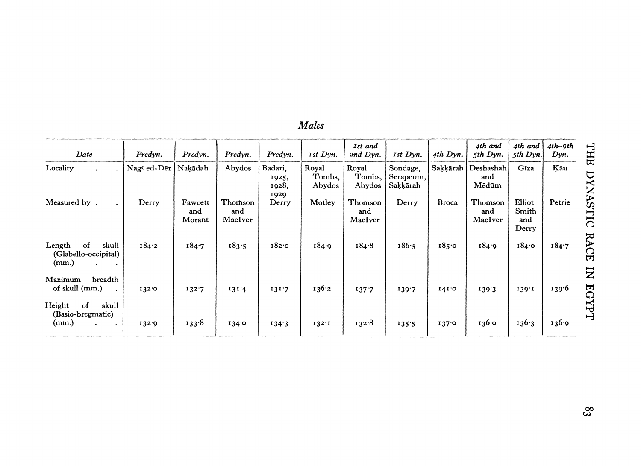| Date                                                                | Predyn.    | Predyn.                  | Predyn.                   | Predyn.                           | Ist Dyn.                  | Ist and<br>2nd Dyn.       | Ist Dyn.                          | 4th Dyn.     | 4th and<br>5th Dyn.       | 4th and<br>5th $Dyn$ .          | $4th$ -9th<br>Dyn. |
|---------------------------------------------------------------------|------------|--------------------------|---------------------------|-----------------------------------|---------------------------|---------------------------|-----------------------------------|--------------|---------------------------|---------------------------------|--------------------|
| Locality                                                            | Nag ed-Der | Nakādah                  | Abydos                    | Badari,<br>1925,<br>1928,<br>1929 | Royal<br>Tombs,<br>Abydos | Royal<br>Tombs.<br>Abydos | Sondage,<br>Serapeum,<br>Saķķārah | Sakkārah     | Deshashah<br>and<br>Mēdūm | Giza                            | Ķāu                |
| Measured by.                                                        | Derry      | Fawcett<br>and<br>Morant | Thomson<br>and<br>MacIver | Derry                             | Motley                    | Thomson<br>and<br>MacIver | Derry                             | <b>Broca</b> | Thomson<br>and<br>MacIver | Elliot<br>Smith<br>and<br>Derry | Petrie             |
| of<br>skull<br>Length<br>(Glabello-occipital)<br>(mm.)              | 184.2      | 184.7                    | 183.5                     | 1820                              | 184.9                     | 184.8                     | 186.5                             | $185$ °      | 184.9                     | 184 <sup>.</sup> 0              | 184.7              |
| Maximum<br>breadth<br>of skull (mm.)<br>Height<br>$\alpha$<br>skull | 1320       | 132.7                    | 131.4                     | 131.7                             | 136.2                     | 137.7                     | 139.7                             | 14I.0        | 139.3                     | 139.1                           | 139.6              |
| (Basio-bregmatic)<br>(mm.)                                          | 132.9      | 133.8                    | 134.0                     | 134.3                             | 132.1                     | 132.8                     | 135.5                             | 137°         | 136.0                     | 136.3                           | 136.9              |

*Males*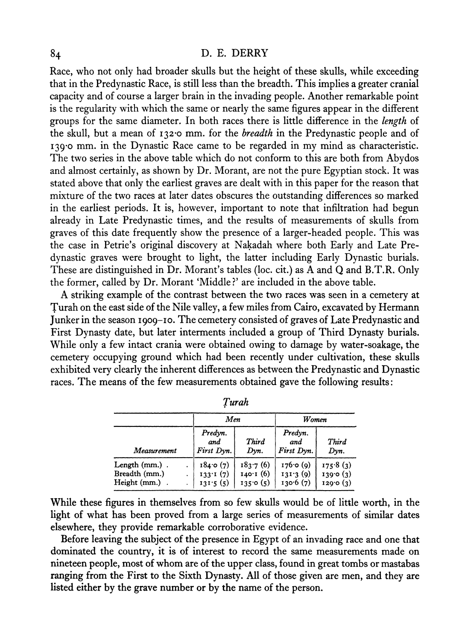#### 84 D. E. DERRY

Race, who not only had broader skulls but the height of these skulls, while exceeding that in the Predynastic Race, is still less than the breadth. This implies a greater cranial capacity and of course a larger brain in the invading people. Another remarkable point is the regularity with which the same or nearly the same figures appear in the different groups for the same diameter. In both races there is little difference in the *length* of the skull, but a mean of 132-0 mm. for the *breadth* in the Predynastic people and of 139-0 mm. in the Dynastic Race came to be regarded in my mind as characteristic. The two series in the above table which do not conform to this are both from Abydos and almost certainly, as shown by Dr. Morant, are not the pure Egyptian stock. It was stated above that only the earliest graves are dealt with in this paper for the reason that mixture of the two races at later dates obscures the outstanding differences so marked in the earliest periods. It is, however, important to note that infiltration had begun already in Late Predynastic times, and the results of measurements of skulls from graves of this date frequently show the presence of a larger-headed people. This was the case in Petrie's original discovery at Nakadah where both Early and Late Predynastic graves were brought to light, the latter including Early Dynastic burials. These are distinguished in Dr. Morant's tables (loc. cit.) as A and Q and B.T.R. Only the former, called by Dr. Morant 'Middle?' are included in the above table.

A striking example of the contrast between the two races was seen in a cemetery at Turah on the east side of the Nile valley, a few miles from Cairo, excavated by Hermann Junker in the season 1909-10. The cemetery consisted of graves of Late Predynastic and First Dynasty date, but later interments included a group of Third Dynasty burials. While only a few intact crania were obtained owing to damage by water-soakage, the cemetery occupying ground which had been recently under cultivation, these skulls exhibited very clearly the inherent differences as between the Predynastic and Dynastic races. The means of the few measurements obtained gave the following results:

|                                                   | Men                                      |                                           | Women                            |                                  |  |
|---------------------------------------------------|------------------------------------------|-------------------------------------------|----------------------------------|----------------------------------|--|
| Measurement                                       | Predyn.<br>and<br>First Dyn.             | <b>Third</b><br>Dyn.                      | Predyn.<br>and<br>First Dyn.     | <b>Third</b><br>Dyn.             |  |
| Length $(mm.)$ .<br>Breadth (mm.)<br>Height (mm.) | 184.0(7)<br>$133 \cdot 1(7)$<br>131.5(5) | 183.7(6)<br>140 $\cdot$ I (6)<br>135.0(5) | 176.0(9)<br>131.3(9)<br>130.6(7) | 175.8(3)<br>139.0(3)<br>120.0(3) |  |

| , | ' urah |
|---|--------|
|   |        |

While these figures in themselves from so few skulls would be of little worth, in the light of what has been proved from a large series of measurements of similar dates elsewhere, they provide remarkable corroborative evidence.

Before leaving the subject of the presence in Egypt of an invading race and one that dominated the country, it is of interest to record the same measurements made on nineteen people, most of whom are of the upper class, found in great tombs or mastabas ranging from the First to the Sixth Dynasty. All of those given are men, and they are listed either by the grave number or by the name of the person.